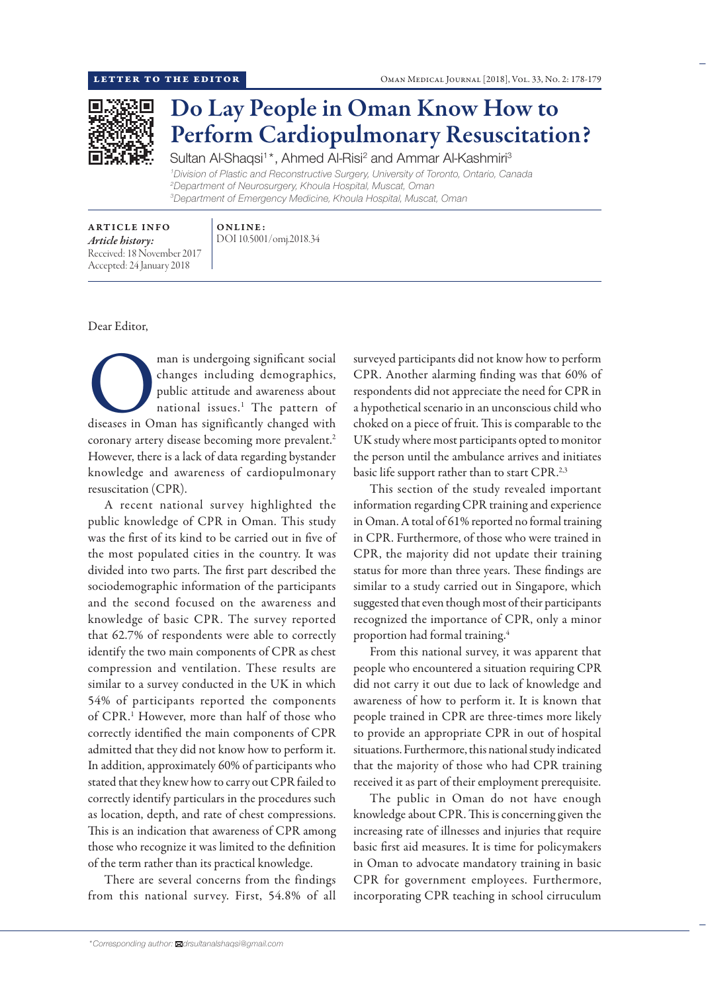

## Do Lay People in Oman Know How to Perform Cardiopulmonary Resuscitation?

Sultan Al-Shaqsi<sup>1\*</sup>, Ahmed Al-Risi<sup>2</sup> and Ammar Al-Kashmiri<sup>3</sup> *Division of Plastic and Reconstructive Surgery, University of Toronto, Ontario, Canada Department of Neurosurgery, Khoula Hospital, Muscat, Oman Department of Emergency Medicine, Khoula Hospital, Muscat, Oman*

ARTICLE INFO *Article history:* Received: 18 November 2017 Accepted: 24 January 2018

ONLINE: DOI 10.5001/omj.2018.34

## Dear Editor,

man is undergoing significant social<br>
changes including demographics,<br>
public attitude and awareness about<br>
national issues.<sup>1</sup> The pattern of<br>
diseases in Oman has significantly changed with changes including demographics, public attitude and awareness about national issues.<sup>1</sup> The pattern of coronary artery disease becoming more prevalent.<sup>2</sup> However, there is a lack of data regarding bystander knowledge and awareness of cardiopulmonary resuscitation (CPR).

A recent national survey highlighted the public knowledge of CPR in Oman. This study was the first of its kind to be carried out in five of the most populated cities in the country. It was divided into two parts. The first part described the sociodemographic information of the participants and the second focused on the awareness and knowledge of basic CPR. The survey reported that 62.7% of respondents were able to correctly identify the two main components of CPR as chest compression and ventilation. These results are similar to a survey conducted in the UK in which 54% of participants reported the components of CPR. <sup>1</sup> However, more than half of those who correctly identified the main components of CPR admitted that they did not know how to perform it. In addition, approximately 60% of participants who stated that they knew how to carry out CPR failed to correctly identify particulars in the procedures such as location, depth, and rate of chest compressions. This is an indication that awareness of CPR among those who recognize it was limited to the definition of the term rather than its practical knowledge.

There are several concerns from the findings from this national survey. First, 54.8% of all surveyed participants did not know how to perform CPR. Another alarming finding was that 60% of respondents did not appreciate the need for CPR in a hypothetical scenario in an unconscious child who choked on a piece of fruit. This is comparable to the UK study where most participants opted to monitor the person until the ambulance arrives and initiates basic life support rather than to start CPR.<sup>2,3</sup>

This section of the study revealed important information regarding CPR training and experience in Oman. A total of 61% reported no formal training in CPR. Furthermore, of those who were trained in CPR, the majority did not update their training status for more than three years. These findings are similar to a study carried out in Singapore, which suggested that even though most of their participants recognized the importance of CPR, only a minor proportion had formal training.4

From this national survey, it was apparent that people who encountered a situation requiring CPR did not carry it out due to lack of knowledge and awareness of how to perform it. It is known that people trained in CPR are three-times more likely to provide an appropriate CPR in out of hospital situations. Furthermore, this national study indicated that the majority of those who had CPR training received it as part of their employment prerequisite.

The public in Oman do not have enough knowledge about CPR. This is concerning given the increasing rate of illnesses and injuries that require basic first aid measures. It is time for policymakers in Oman to advocate mandatory training in basic CPR for government employees. Furthermore, incorporating CPR teaching in school cirruculum